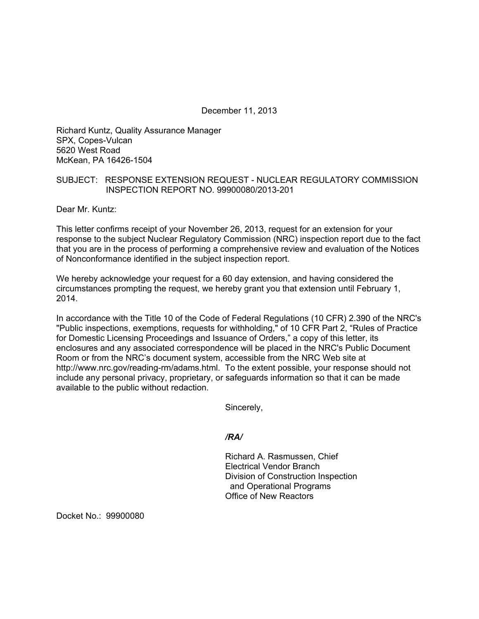December 11, 2013

Richard Kuntz, Quality Assurance Manager SPX, Copes-Vulcan 5620 West Road McKean, PA 16426-1504

## SUBJECT: RESPONSE EXTENSION REQUEST - NUCLEAR REGULATORY COMMISSION INSPECTION REPORT NO. 99900080/2013-201

Dear Mr. Kuntz:

This letter confirms receipt of your November 26, 2013, request for an extension for your response to the subject Nuclear Regulatory Commission (NRC) inspection report due to the fact that you are in the process of performing a comprehensive review and evaluation of the Notices of Nonconformance identified in the subject inspection report.

We hereby acknowledge your request for a 60 day extension, and having considered the circumstances prompting the request, we hereby grant you that extension until February 1, 2014.

In accordance with the Title 10 of the Code of Federal Regulations (10 CFR) 2.390 of the NRC's "Public inspections, exemptions, requests for withholding," of 10 CFR Part 2, "Rules of Practice for Domestic Licensing Proceedings and Issuance of Orders," a copy of this letter, its enclosures and any associated correspondence will be placed in the NRC's Public Document Room or from the NRC's document system, accessible from the NRC Web site at http://www.nrc.gov/reading-rm/adams.html. To the extent possible, your response should not include any personal privacy, proprietary, or safeguards information so that it can be made available to the public without redaction.

Sincerely,

*/RA/* 

Richard A. Rasmussen, Chief Electrical Vendor Branch Division of Construction Inspection and Operational Programs Office of New Reactors

Docket No.: 99900080